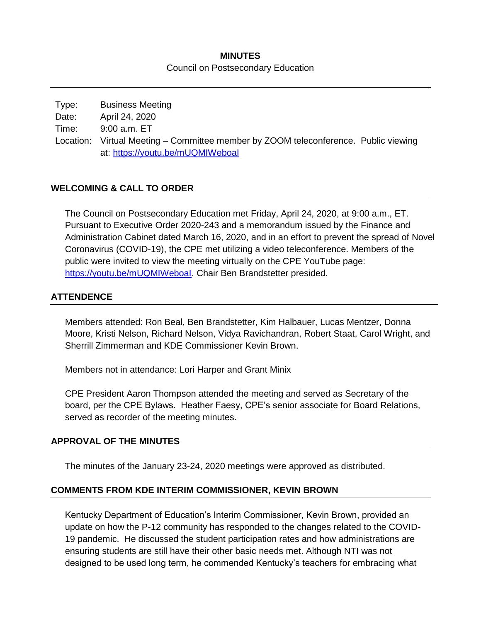### **MINUTES** Council on Postsecondary Education

Type: Business Meeting Date: April 24, 2020 Time: 9:00 a.m. ET Location: Virtual Meeting – Committee member by ZOOM teleconference. Public viewing at:<https://youtu.be/mUQMIWeboaI>

### **WELCOMING & CALL TO ORDER**

The Council on Postsecondary Education met Friday, April 24, 2020, at 9:00 a.m., ET. Pursuant to Executive Order 2020-243 and a memorandum issued by the Finance and Administration Cabinet dated March 16, 2020, and in an effort to prevent the spread of Novel Coronavirus (COVID-19), the CPE met utilizing a video teleconference. Members of the public were invited to view the meeting virtually on the CPE YouTube page: [https://youtu.be/mUQMIWeboaI.](https://youtu.be/mUQMIWeboaI) Chair Ben Brandstetter presided.

### **ATTENDENCE**

Members attended: Ron Beal, Ben Brandstetter, Kim Halbauer, Lucas Mentzer, Donna Moore, Kristi Nelson, Richard Nelson, Vidya Ravichandran, Robert Staat, Carol Wright, and Sherrill Zimmerman and KDE Commissioner Kevin Brown.

Members not in attendance: Lori Harper and Grant Minix

CPE President Aaron Thompson attended the meeting and served as Secretary of the board, per the CPE Bylaws. Heather Faesy, CPE's senior associate for Board Relations, served as recorder of the meeting minutes.

### **APPROVAL OF THE MINUTES**

The minutes of the January 23-24, 2020 meetings were approved as distributed.

### **COMMENTS FROM KDE INTERIM COMMISSIONER, KEVIN BROWN**

Kentucky Department of Education's Interim Commissioner, Kevin Brown, provided an update on how the P-12 community has responded to the changes related to the COVID-19 pandemic. He discussed the student participation rates and how administrations are ensuring students are still have their other basic needs met. Although NTI was not designed to be used long term, he commended Kentucky's teachers for embracing what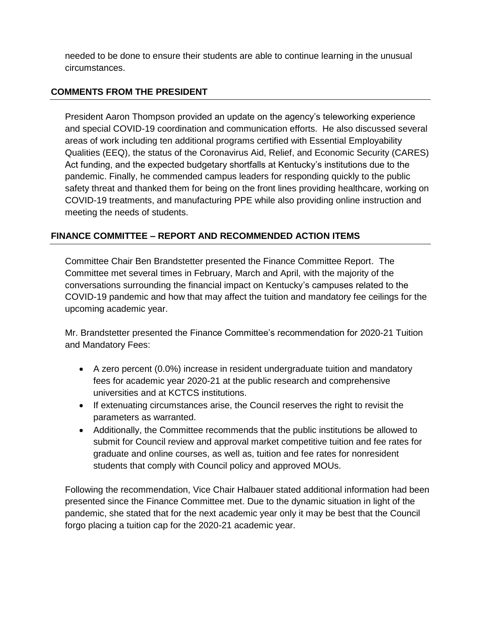needed to be done to ensure their students are able to continue learning in the unusual circumstances.

### **COMMENTS FROM THE PRESIDENT**

President Aaron Thompson provided an update on the agency's teleworking experience and special COVID-19 coordination and communication efforts. He also discussed several areas of work including ten additional programs certified with Essential Employability Qualities (EEQ), the status of the Coronavirus Aid, Relief, and Economic Security (CARES) Act funding, and the expected budgetary shortfalls at Kentucky's institutions due to the pandemic. Finally, he commended campus leaders for responding quickly to the public safety threat and thanked them for being on the front lines providing healthcare, working on COVID-19 treatments, and manufacturing PPE while also providing online instruction and meeting the needs of students.

# **FINANCE COMMITTEE – REPORT AND RECOMMENDED ACTION ITEMS**

Committee Chair Ben Brandstetter presented the Finance Committee Report. The Committee met several times in February, March and April, with the majority of the conversations surrounding the financial impact on Kentucky's campuses related to the COVID-19 pandemic and how that may affect the tuition and mandatory fee ceilings for the upcoming academic year.

Mr. Brandstetter presented the Finance Committee's recommendation for 2020-21 Tuition and Mandatory Fees:

- A zero percent (0.0%) increase in resident undergraduate tuition and mandatory fees for academic year 2020-21 at the public research and comprehensive universities and at KCTCS institutions.
- If extenuating circumstances arise, the Council reserves the right to revisit the parameters as warranted.
- Additionally, the Committee recommends that the public institutions be allowed to submit for Council review and approval market competitive tuition and fee rates for graduate and online courses, as well as, tuition and fee rates for nonresident students that comply with Council policy and approved MOUs.

Following the recommendation, Vice Chair Halbauer stated additional information had been presented since the Finance Committee met. Due to the dynamic situation in light of the pandemic, she stated that for the next academic year only it may be best that the Council forgo placing a tuition cap for the 2020-21 academic year.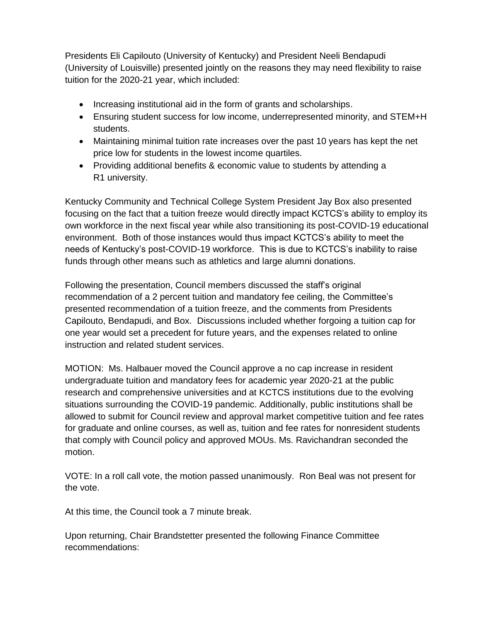Presidents Eli Capilouto (University of Kentucky) and President Neeli Bendapudi (University of Louisville) presented jointly on the reasons they may need flexibility to raise tuition for the 2020-21 year, which included:

- Increasing institutional aid in the form of grants and scholarships.
- Ensuring student success for low income, underrepresented minority, and STEM+H students.
- Maintaining minimal tuition rate increases over the past 10 years has kept the net price low for students in the lowest income quartiles.
- Providing additional benefits & economic value to students by attending a R1 university.

Kentucky Community and Technical College System President Jay Box also presented focusing on the fact that a tuition freeze would directly impact KCTCS's ability to employ its own workforce in the next fiscal year while also transitioning its post-COVID-19 educational environment. Both of those instances would thus impact KCTCS's ability to meet the needs of Kentucky's post-COVID-19 workforce. This is due to KCTCS's inability to raise funds through other means such as athletics and large alumni donations.

Following the presentation, Council members discussed the staff's original recommendation of a 2 percent tuition and mandatory fee ceiling, the Committee's presented recommendation of a tuition freeze, and the comments from Presidents Capilouto, Bendapudi, and Box. Discussions included whether forgoing a tuition cap for one year would set a precedent for future years, and the expenses related to online instruction and related student services.

MOTION: Ms. Halbauer moved the Council approve a no cap increase in resident undergraduate tuition and mandatory fees for academic year 2020-21 at the public research and comprehensive universities and at KCTCS institutions due to the evolving situations surrounding the COVID-19 pandemic. Additionally, public institutions shall be allowed to submit for Council review and approval market competitive tuition and fee rates for graduate and online courses, as well as, tuition and fee rates for nonresident students that comply with Council policy and approved MOUs. Ms. Ravichandran seconded the motion.

VOTE: In a roll call vote, the motion passed unanimously. Ron Beal was not present for the vote.

At this time, the Council took a 7 minute break.

Upon returning, Chair Brandstetter presented the following Finance Committee recommendations: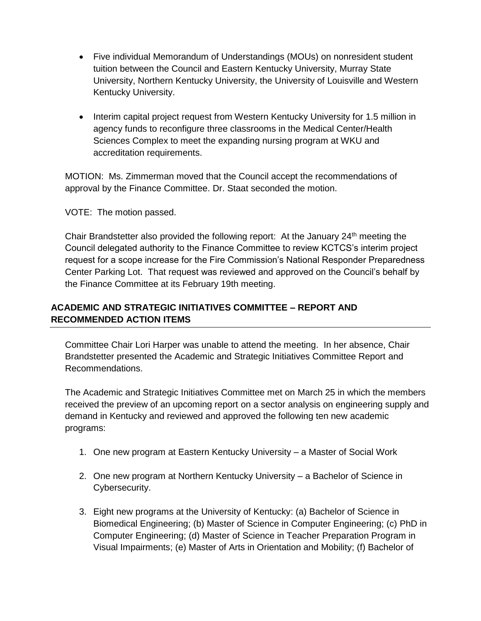- Five individual Memorandum of Understandings (MOUs) on nonresident student tuition between the Council and Eastern Kentucky University, Murray State University, Northern Kentucky University, the University of Louisville and Western Kentucky University.
- Interim capital project request from Western Kentucky University for 1.5 million in agency funds to reconfigure three classrooms in the Medical Center/Health Sciences Complex to meet the expanding nursing program at WKU and accreditation requirements.

MOTION: Ms. Zimmerman moved that the Council accept the recommendations of approval by the Finance Committee. Dr. Staat seconded the motion.

VOTE: The motion passed.

Chair Brandstetter also provided the following report: At the January 24<sup>th</sup> meeting the Council delegated authority to the Finance Committee to review KCTCS's interim project request for a scope increase for the Fire Commission's National Responder Preparedness Center Parking Lot. That request was reviewed and approved on the Council's behalf by the Finance Committee at its February 19th meeting.

# **ACADEMIC AND STRATEGIC INITIATIVES COMMITTEE – REPORT AND RECOMMENDED ACTION ITEMS**

Committee Chair Lori Harper was unable to attend the meeting. In her absence, Chair Brandstetter presented the Academic and Strategic Initiatives Committee Report and Recommendations.

The Academic and Strategic Initiatives Committee met on March 25 in which the members received the preview of an upcoming report on a sector analysis on engineering supply and demand in Kentucky and reviewed and approved the following ten new academic programs:

- 1. One new program at Eastern Kentucky University a Master of Social Work
- 2. One new program at Northern Kentucky University a Bachelor of Science in Cybersecurity.
- 3. Eight new programs at the University of Kentucky: (a) Bachelor of Science in Biomedical Engineering; (b) Master of Science in Computer Engineering; (c) PhD in Computer Engineering; (d) Master of Science in Teacher Preparation Program in Visual Impairments; (e) Master of Arts in Orientation and Mobility; (f) Bachelor of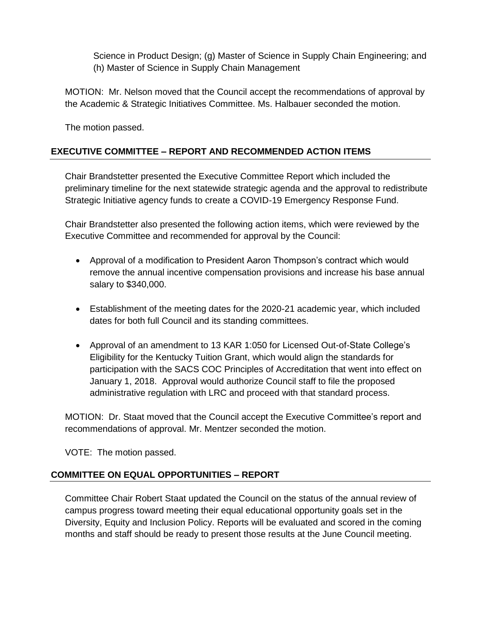Science in Product Design; (g) Master of Science in Supply Chain Engineering; and (h) Master of Science in Supply Chain Management

MOTION: Mr. Nelson moved that the Council accept the recommendations of approval by the Academic & Strategic Initiatives Committee. Ms. Halbauer seconded the motion.

The motion passed.

# **EXECUTIVE COMMITTEE – REPORT AND RECOMMENDED ACTION ITEMS**

Chair Brandstetter presented the Executive Committee Report which included the preliminary timeline for the next statewide strategic agenda and the approval to redistribute Strategic Initiative agency funds to create a COVID-19 Emergency Response Fund.

Chair Brandstetter also presented the following action items, which were reviewed by the Executive Committee and recommended for approval by the Council:

- Approval of a modification to President Aaron Thompson's contract which would remove the annual incentive compensation provisions and increase his base annual salary to \$340,000.
- Establishment of the meeting dates for the 2020-21 academic year, which included dates for both full Council and its standing committees.
- Approval of an amendment to 13 KAR 1:050 for Licensed Out-of-State College's Eligibility for the Kentucky Tuition Grant, which would align the standards for participation with the SACS COC Principles of Accreditation that went into effect on January 1, 2018. Approval would authorize Council staff to file the proposed administrative regulation with LRC and proceed with that standard process.

MOTION: Dr. Staat moved that the Council accept the Executive Committee's report and recommendations of approval. Mr. Mentzer seconded the motion.

VOTE: The motion passed.

# **COMMITTEE ON EQUAL OPPORTUNITIES – REPORT**

Committee Chair Robert Staat updated the Council on the status of the annual review of campus progress toward meeting their equal educational opportunity goals set in the Diversity, Equity and Inclusion Policy. Reports will be evaluated and scored in the coming months and staff should be ready to present those results at the June Council meeting.